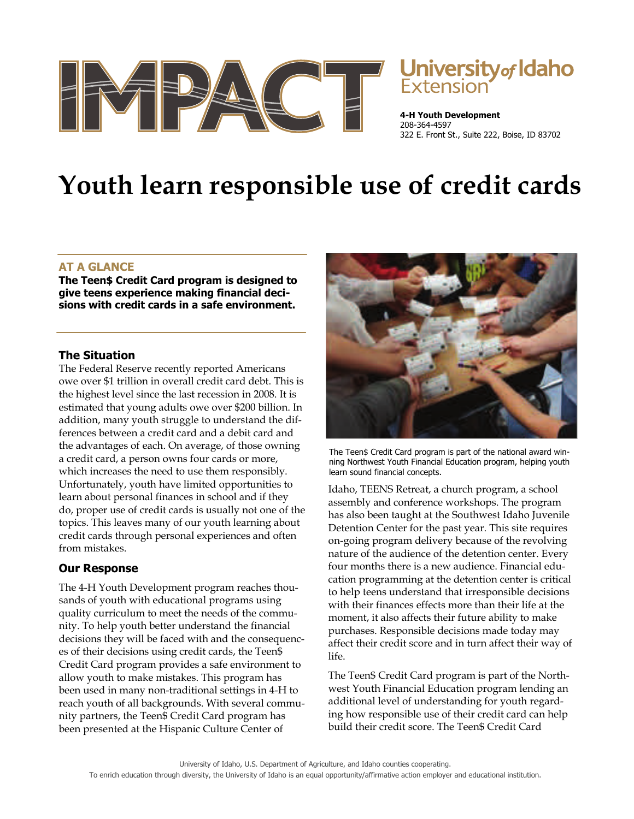

# **University of Idaho**<br>Extension

**4-H Youth Development** 208-364-4597 322 E. Front St., Suite 222, Boise, ID 83702

# **Youth learn responsible use of credit cards**

# **AT A GLANCE**

**The Teen\$ Credit Card program is designed to give teens experience making financial decisions with credit cards in a safe environment.** 

# **The Situation**

The Federal Reserve recently reported Americans owe over \$1 trillion in overall credit card debt. This is the highest level since the last recession in 2008. It is estimated that young adults owe over \$200 billion. In addition, many youth struggle to understand the differences between a credit card and a debit card and the advantages of each. On average, of those owning a credit card, a person owns four cards or more, which increases the need to use them responsibly. Unfortunately, youth have limited opportunities to learn about personal finances in school and if they do, proper use of credit cards is usually not one of the topics. This leaves many of our youth learning about credit cards through personal experiences and often from mistakes.

# **Our Response**

The 4-H Youth Development program reaches thousands of youth with educational programs using quality curriculum to meet the needs of the community. To help youth better understand the financial decisions they will be faced with and the consequences of their decisions using credit cards, the Teen\$ Credit Card program provides a safe environment to allow youth to make mistakes. This program has been used in many non-traditional settings in 4-H to reach youth of all backgrounds. With several community partners, the Teen\$ Credit Card program has been presented at the Hispanic Culture Center of



The Teen\$ Credit Card program is part of the national award winning Northwest Youth Financial Education program, helping youth learn sound financial concepts.

Idaho, TEENS Retreat, a church program, a school assembly and conference workshops. The program has also been taught at the Southwest Idaho Juvenile Detention Center for the past year. This site requires on-going program delivery because of the revolving nature of the audience of the detention center. Every four months there is a new audience. Financial education programming at the detention center is critical to help teens understand that irresponsible decisions with their finances effects more than their life at the moment, it also affects their future ability to make purchases. Responsible decisions made today may affect their credit score and in turn affect their way of life.

The Teen\$ Credit Card program is part of the Northwest Youth Financial Education program lending an additional level of understanding for youth regarding how responsible use of their credit card can help build their credit score. The Teen\$ Credit Card